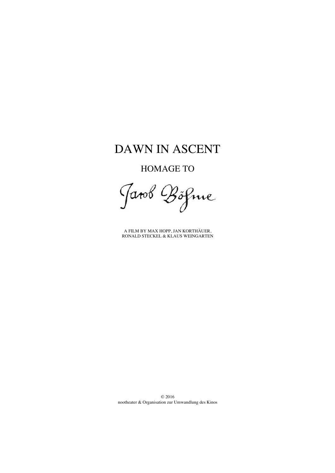# DAWN IN ASCENT

HOMAGE TO

Jarob Böfme

A FILM BY MAX HOPP, JAN KORTHÄUER, RONALD STECKEL & KLAUS WEINGARTEN

© 2016 nootheater & Organisation zur Umwandlung des Kinos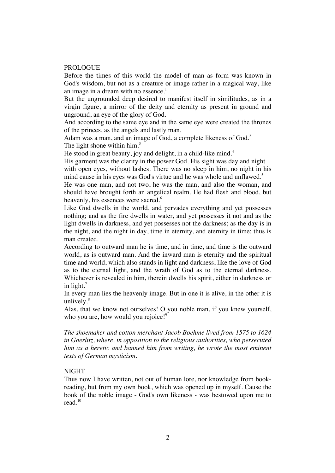#### **PROLOGUE**

Before the times of this world the model of man as form was known in God's wisdom, but not as a creature or image rather in a magical way, like an image in a dream with no essence.<sup>1</sup>

But the ungrounded deep desired to manifest itself in similitudes, as in a virgin figure, a mirror of the deity and eternity as present in ground and unground, an eye of the glory of God.

And according to the same eye and in the same eye were created the thrones of the princes, as the angels and lastly man.

Adam was a man, and an image of God, a complete likeness of God.<sup>2</sup> The light shone within him.<sup>3</sup>

He stood in great beauty, joy and delight, in a child-like mind.<sup>4</sup>

His garment was the clarity in the power God. His sight was day and night with open eyes, without lashes. There was no sleep in him, no night in his mind cause in his eyes was God's virtue and he was whole and unflawed.<sup>5</sup>

He was one man, and not two, he was the man, and also the woman, and should have brought forth an angelical realm. He had flesh and blood, but heavenly, his essences were sacred.<sup>6</sup>

Like God dwells in the world, and pervades everything and yet possesses nothing; and as the fire dwells in water, and yet possesses it not and as the light dwells in darkness, and yet possesses not the darkness; as the day is in the night, and the night in day, time in eternity, and eternity in time; thus is man created.

According to outward man he is time, and in time, and time is the outward world, as is outward man. And the inward man is eternity and the spiritual time and world, which also stands in light and darkness, like the love of God as to the eternal light, and the wrath of God as to the eternal darkness. Whichever is revealed in him, therein dwells his spirit, either in darkness or in light.<sup>7</sup>

In every man lies the heavenly image. But in one it is alive, in the other it is unlively. $8$ 

Alas, that we know not ourselves! O you noble man, if you knew yourself, who you are, how would you rejoice!<sup>9</sup>

*The shoemaker and cotton merchant Jacob Boehme lived from 1575 to 1624 in Goerlitz, where, in opposition to the religious authorities, who persecuted him as a heretic and banned him from writing, he wrote the most eminent texts of German mysticism.*

## NIGHT

Thus now I have written, not out of human lore, nor knowledge from bookreading, but from my own book, which was opened up in myself. Cause the book of the noble image - God's own likeness - was bestowed upon me to read.<sup>10</sup>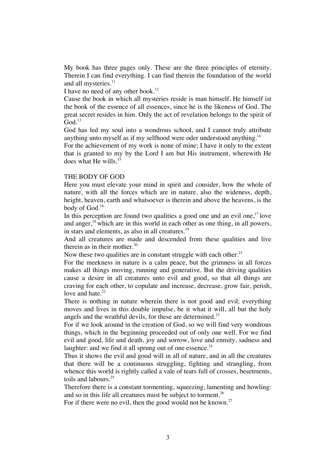My book has three pages only. These are the three principles of eternity. Therein I can find everything. I can find therein the foundation of the world and all mysteries.<sup>11</sup>

I have no need of any other book.<sup>12</sup>

Cause the book in which all mysteries reside is man himself. He himself ist the book of the essence of all essences, since he is the likeness of God. The great secret resides in him. Only the act of revelation belongs to the spirit of  $God.<sup>13</sup>$ 

God has led my soul into a wondrous school, and I cannot truly attribute anything unto myself as if my selfhood were oder understood anything.<sup>14</sup>

For the achievement of my work is none of mine; I have it only to the extent that is granted to my by the Lord I am but His instrument, wherewith He does what He wills. $11$ 

# THE BODY OF GOD

Here you must elevate your mind in spirit and consider, how the whole of nature, with all the forces which are in nature, also the wideness, depth, height, heaven, earth and whatsoever is therein and above the heavens, is the body of God.<sup>16</sup>

In this perception are found two qualities a good one and an evil one, $17$  love and anger, $18$  which are in this world in each other as one thing, in all powers, in stars and elements, as also in all creatures.<sup>19</sup>

And all creatures are made and descended from these qualities and live therein as in their mother. $20$ 

Now these two qualities are in constant struggle with each other.<sup>21</sup>

For the meekness in nature is a calm peace, but the grimness in all forces makes all things moving, running and generative. But the driving qualities cause a desire in all creatures unto evil and good, so that all things are craving for each other, to copulate and increase, decrease, grow fair, perish, love and hate. $22$ 

There is nothing in nature wherein there is not good and evil; everything moves and lives in this double impulse, be it what it will, all but the holy angels and the wrathful devils, for these are determined.<sup>23</sup>

For if we look around in the creation of God, so we will find very wondrous things, which in the beginning proceeded out of only one well. For we find evil and good, life and death, joy and sorrow, love and enmity, sadness and laughter: and we find it all sprung out of one essence. $24$ 

Thus it shows the evil and good will in all of nature, and in all the creatures that there will be a continuous struggling, fighting and strangling, from whence this world is rightly called a vale of tears full of crosses, besetments, toils and labours<sup>25</sup>

Therefore there is a constant tormenting, squeezing, lamenting and howling: and so in this life all creatures must be subject to torment.<sup>26</sup>

For if there were no evil, then the good would not be known.<sup>27</sup>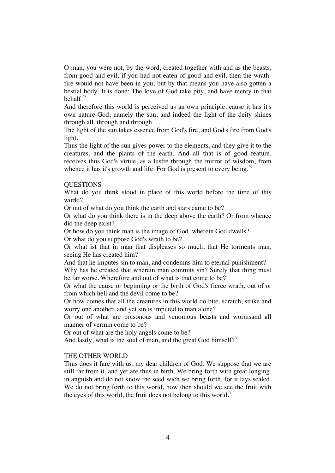O man, you were not, by the word, created together with and as the beasts, from good and evil; if you had not eaten of good and evil, then the wrathfire would not have been in you; but by that means you have also gotten a bestial body. It is done: The love of God take pity, and have mercy in that behalf.<sup>28</sup>

And therefore this world is perceived as an own principle, cause it has it's own nature-God, namely the sun, and indeed the light of the deity shines through all, through and through.

The light of the sun takes essence from God's fire, and God's fire from God's light.

Thus the light of the sun gives power to the elements, and they give it to the creatures, and the plants of the earth. And all that is of good feature, receives thus God's virtue, as a lustre through the mirror of wisdom, from whence it has it's growth and life. For God is present to every being.<sup>29</sup>

# **OUESTIONS**

What do you think stood in place of this world before the time of this world?

Or out of what do you think the earth and stars came to be?

Or what do you think there is in the deep above the earth? Or from whence did the deep exist?

Or how do you think man is the image of God, wherein God dwells? Or what do you suppose God's wrath to be?

Or what ist that in man that displeases so much, that He torments man, seeing He has created him?

And that he imputes sin to man, and condemns him to eternal punishment? Why has he created that wherein man commits sin? Surely that thing must be far worse. Wherefore and out of what is that come to be?

Or what the cause or beginning or the birth of God's fierce wrath, out of or from which hell and the devil come to be?

Or how comes that all the creatures in this world do bite, scratch, strike and worry one another, and yet sin is imputed to man alone?

Or out of what are poisonous and venomous beasts and wormsand all manner of vermin come to be?

Or out of what are the holy angels come to be?

And lastly, what is the soul of man, and the great God himself? $30$ 

# THE OTHER WORLD

Thus does it fare with us, my dear children of God. We suppose that we are still far from it, and yet are thus in birth. We bring forth with great longing, in anguish and do not know the seed wich we bring forth, for it lays sealed. We do not bring forth to this world, how then should we see the fruit with the eyes of this world, the fruit does not belong to this world. $31$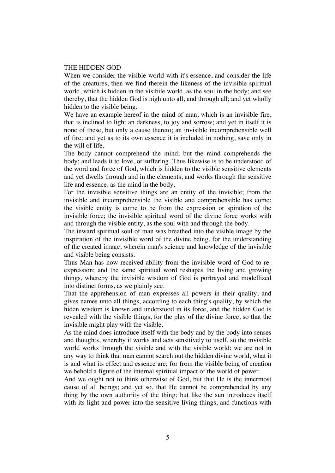## THE HIDDEN GOD

When we consider the visible world with it's essence, and consider the life of the creatures, then we find therein the likeness of the invisible spiritual world, which is hidden in the visibile world, as the soul in the body; and see thereby, that the hidden God is nigh unto all, and through all; and yet wholly hidden to the visible being.

We have an example hereof in the mind of man, which is an invisible fire, that is inclined to light an darkness, to joy and sorrow; and yet in itself it is none of these, but only a cause thereto; an invisible incomprehensible well of fire; and yet as to its own essence it is included in nothing, save only in the will of life.

The body cannot comprehend the mind; but the mind comprehends the body; and leads it to love, or suffering. Thus likewise is to be understood of the word and force of God, which is hidden to the visible sensitive elements and yet dwells through and in the elements, and works through the sensitive life and essence, as the mind in the body.

For the invisible sensitive things are an entity of the invisible; from the invisible and incomprehensible the visible and comprehensible has come: the visible entity is come to be from the expression or spiration of the invisible force; the invisible spiritual word of the divine force works with and through the visible entity, as the soul with and through the body.

The inward spiritual soul of man was breathed into the visible image by the inspiration of the invisible word of the divine being, for the understanding of the created image, wherein man's science and knowledge of the invisible and visible being consists.

Thus Man has now received ability from the invisible word of God to reexpression; and the same spiritual word reshapes the living and growing things, whereby the invisible wisdom of God is portrayed and modellized into distinct forms, as we plainly see.

That the apprehension of man expresses all powers in their quality, and gives names unto all things, according to each thing's quality, by which the hiden wisdom is known and understood in its force, and the hidden God is revealed with the visible things, for the play of the divine force, so that the invisible might play with the visible.

As the mind does introduce itself with the body and by the body into senses and thoughts, whereby it works and acts sensitively to itself, so the invisible world works through the visible and with the visible world: we are not in any way to think that man cannot search out the hidden divine world, what it is and what its effect and essence are; for from the visible being of creation we behold a figure of the internal spiritual impact of the world of power.

And we ought not to think otherwise of God, but that He is the innermost cause of all beings; and yet so, that He cannot be comprehended by any thing by the own authority of the thing: but like the sun introduces itself with its light and power into the sensitive living things, and functions with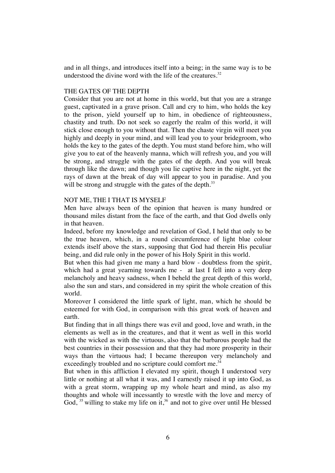and in all things, and introduces itself into a being; in the same way is to be understood the divine word with the life of the creatures. $32$ 

# THE GATES OF THE DEPTH

Consider that you are not at home in this world, but that you are a strange guest, captivated in a grave prison. Call and cry to him, who holds the key to the prison, yield yourself up to him, in obedience of righteousness, chastity and truth. Do not seek so eagerly the realm of this world, it will stick close enough to you without that. Then the chaste virgin will meet you highly and deeply in your mind, and will lead you to your bridegroom, who holds the key to the gates of the depth. You must stand before him, who will give you to eat of the heavenly manna, which will refresh you, and you will be strong, and struggle with the gates of the depth. And you will break through like the dawn; and though you lie captive here in the night, yet the rays of dawn at the break of day will appear to you in paradise. And you will be strong and struggle with the gates of the depth.<sup>33</sup>

# NOT ME, THE I THAT IS MYSELF

Men have always been of the opinion that heaven is many hundred or thousand miles distant from the face of the earth, and that God dwells only in that heaven.

Indeed, before my knowledge and revelation of God, I held that only to be the true heaven, which, in a round circumference of light blue colour extends itself above the stars, supposing that God had therein His peculiar being, and did rule only in the power of his Holy Spirit in this world.

But when this had given me many a hard blow - doubtless from the spirit, which had a great yearning towards me - at last I fell into a very deep melancholy and heavy sadness, when I beheld the great depth of this world, also the sun and stars, and considered in my spirit the whole creation of this world.

Moreover I considered the little spark of light, man, which he should be esteemed for with God, in comparison with this great work of heaven and earth.

But finding that in all things there was evil and good, love and wrath, in the elements as well as in the creatures, and that it went as well in this world with the wicked as with the virtuous, also that the barbarous people had the best countries in their possession and that they had more prosperity in their ways than the virtuous had; I became thereupon very melancholy and exceedingly troubled and no scripture could comfort me.<sup>34</sup>

But when in this affliction I elevated my spirit, though I understood very little or nothing at all what it was, and I earnestly raised it up into God, as with a great storm, wrapping up my whole heart and mind, as also my thoughts and whole will incessantly to wrestle with the love and mercy of God,  $35$  willing to stake my life on it,  $36$  and not to give over until He blessed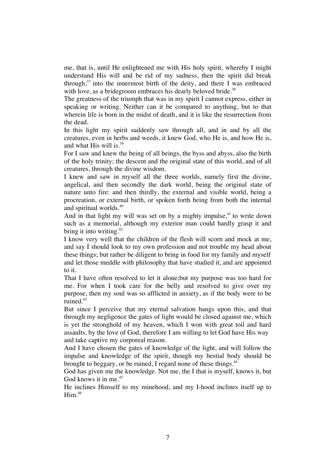me, that is, until He enlightened me with His holy spirit, whereby I might understand His will and be rid of my sadness, then the spirit did break through, $37$  into the innermost birth of the deity, and there I was embraced with love, as a bridegroom embraces his dearly beloved bride.<sup>38</sup>

The greatness of the triumph that was in my spirit I cannot express, either in speaking or writing. Neither can it be compared to anything, but to that wherein life is born in the midst of death, and it is like the resurrection from the dead.

In this light my spirit suddenly saw through all, and in and by all the creatures, even in herbs and weeds, it knew God, who He is, and how He is, and what His will is.<sup>39</sup>

For I saw and knew the being of all beings, the byss and abyss, also the birth of the holy trinity; the descent and the original state of this world, and of all creatures, through the divine wisdom.

I knew and saw in myself all the three worlds, namely first the divine, angelical, and then secondly the dark world, being the original state of nature unto fire: and then thirdly, the external and visible world, being a procreation, or external birth, or spoken forth being from both the internal and spiritual worlds.<sup>40</sup>

And in that light my will was set on by a mighty impulse, $41$  to write down such as a memorial, although my exterior man could hardly grasp it and bring it into writing. $42$ 

I know very well that the children of the flesh will scorn and mock at me, and say I should look to my own profession and not trouble my head about these things; but rather be diligent to bring in food for my family and myself and let those meddle with philosophy that have studied it, and are appointed to it.

That I have often resolved to let it alone;but my purpose was too hard for me. For when I took care for the belly and resolved to give over my purpose, then my soul was so afflicted in anxiety, as if the body were to be ruined.<sup>43</sup>

But since I perceive that my eternal salvation hangs upon this, and that through my negligence the gates of light would be closed against me, which is yet the stronghold of my heaven, which I won with great toil and hard assaults, by the love of God, therefore I am willing to let God have His way and take captive my corporeal reason.

And I have chosen the gates of knowledge of the light, and will follow the impulse and knowledge of the spirit, though my bestial body should be brought to beggary, or be ruined, I regard none of these things.<sup>44</sup>

God has given me the knowledge. Not me, the I that is myself, knows it, but God knows it in me.<sup>45</sup>

He inclines Himself to my minehood, and my I-hood inclines itself up to  $H<sup>46</sup>$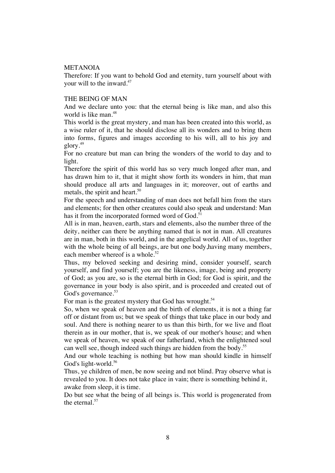## METANOIA

Therefore: If you want to behold God and eternity, turn yourself about with your will to the inward.<sup>47</sup>

#### THE BEING OF MAN

And we declare unto you: that the eternal being is like man, and also this world is like man.<sup>48</sup>

This world is the great mystery, and man has been created into this world, as a wise ruler of it, that he should disclose all its wonders and to bring them into forms, figures and images according to his will, all to his joy and  $g$ lory.<sup>49</sup>

For no creature but man can bring the wonders of the world to day and to light.

Therefore the spirit of this world has so very much longed after man, and has drawn him to it, that it might show forth its wonders in him, that man should produce all arts and languages in it; moreover, out of earths and metals, the spirit and heart.<sup>50</sup>

For the speech and understanding of man does not befall him from the stars and elements; for then other creatures could also speak and understand: Man has it from the incorporated formed word of God.<sup>51</sup>

All is in man, heaven, earth, stars and elements, also the number three of the deity, neither can there be anything named that is not in man. All creatures are in man, both in this world, and in the angelical world. All of us, together with the whole being of all beings, are but one body,having many members, each member whereof is a whole.<sup>52</sup>

Thus, my beloved seeking and desiring mind, consider yourself, search yourself, and find yourself; you are the likeness, image, being and property of God; as you are, so is the eternal birth in God; for God is spirit, and the governance in your body is also spirit, and is proceeded and created out of God's governance.<sup>53</sup>

For man is the greatest mystery that God has wrought.<sup>54</sup>

So, when we speak of heaven and the birth of elements, it is not a thing far off or distant from us; but we speak of things that take place in our body and soul. And there is nothing nearer to us than this birth, for we live and float therein as in our mother, that is, we speak of our mother's house; and when we speak of heaven, we speak of our fatherland, which the enlightened soul can well see, though indeed such things are hidden from the body.<sup>55</sup>

And our whole teaching is nothing but how man should kindle in himself God's light-world.<sup>56</sup>

Thus, ye children of men, be now seeing and not blind. Pray observe what is revealed to you. It does not take place in vain; there is something behind it, awake from sleep, it is time.

Do but see what the being of all beings is. This world is progenerated from the eternal.<sup>57</sup>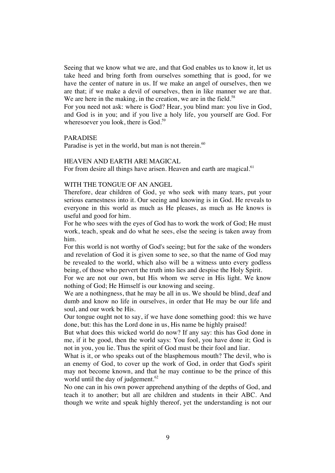Seeing that we know what we are, and that God enables us to know it, let us take heed and bring forth from ourselves something that is good, for we have the center of nature in us. If we make an angel of ourselves, then we are that; if we make a devil of ourselves, then in like manner we are that. We are here in the making, in the creation, we are in the field.<sup>58</sup>

For you need not ask: where is God? Hear, you blind man: you live in God, and God is in you; and if you live a holy life, you yourself are God. For wheresoever you look, there is God.<sup>59</sup>

#### PARADISE

Paradise is yet in the world, but man is not therein. $60$ 

#### HEAVEN AND EARTH ARE MAGICAL

For from desire all things have arisen. Heaven and earth are magical.<sup>61</sup>

## WITH THE TONGUE OF AN ANGEL

Therefore, dear children of God, ye who seek with many tears, put your serious earnestness into it. Our seeing and knowing is in God. He reveals to everyone in this world as much as He pleases, as much as He knows is useful and good for him.

For he who sees with the eyes of God has to work the work of God; He must work, teach, speak and do what he sees, else the seeing is taken away from him.

For this world is not worthy of God's seeing; but for the sake of the wonders and revelation of God it is given some to see, so that the name of God may be revealed to the world, which also will be a witness unto every godless being, of those who pervert the truth into lies and despise the Holy Spirit.

For we are not our own, but His whom we serve in His light. We know nothing of God; He Himself is our knowing and seeing.

We are a nothingness, that he may be all in us. We should be blind, deaf and dumb and know no life in ourselves, in order that He may be our life and soul, and our work be His.

Our tongue ought not to say, if we have done something good: this we have done, but: this has the Lord done in us, His name be highly praised!

But what does this wicked world do now? If any say: this has God done in me, if it be good, then the world says: You fool, you have done it; God is not in you, you lie. Thus the spirit of God must be their fool and liar.

What is it, or who speaks out of the blasphemous mouth? The devil, who is an enemy of God, to cover up the work of God, in order that God's spirit may not become known, and that he may continue to be the prince of this world until the day of judgement.<sup>62</sup>

No one can in his own power apprehend anything of the depths of God, and teach it to another; but all are children and students in their ABC. And though we write and speak highly thereof, yet the understanding is not our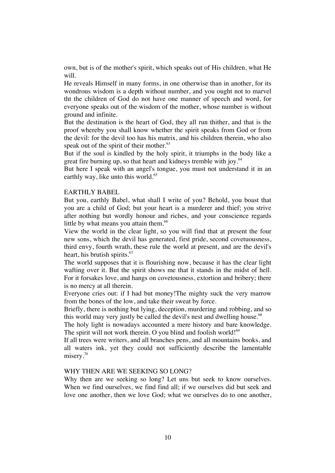own, but is of the mother's spirit, which speaks out of His children, what He will.

He reveals Himself in many forms, in one otherwise than in another, for its wondrous wisdom is a depth without number, and you ought not to marvel tht the children of God do not have one manner of speech and word, for everyone speaks out of the wisdom of the mother, whose number is without ground and infinite.

But the destination is the heart of God, they all run thither, and that is the proof whereby you shall know whether the spirit speaks from God or from the devil: for the devil too has his matrix, and his children therein, who also speak out of the spirit of their mother.<sup>63</sup>

But if the soul is kindled by the holy spirit, it triumphs in the body like a great fire burning up, so that heart and kidneys tremble with joy.<sup>64</sup>

But here I speak with an angel's tongue, you must not understand it in an earthly way, like unto this world.<sup>65</sup>

#### EARTHLY BABEL

But you, earthly Babel, what shall I write of you? Behold, you boast that you are a child of God; but your heart is a murderer and thief; you strive after nothing but wordly honour and riches, and your conscience regards little by what means you attain them.<sup>66</sup>

View the world in the clear light, so you will find that at present the four new sons, which the devil has generated, first pride, second covetuousness, third envy, fourth wrath, these rule the world at present, and are the devil's heart, his brutish spirits.<sup>67</sup>

The world supposes that it is flourishing now, because it has the clear light wafting over it. But the spirit shows me that it stands in the midst of hell. For it forsakes love, and hangs on covetousness, extortion and bribery; there is no mercy at all therein.

Everyone cries out: if I had but money!The mighty suck the very marrow from the bones of the low, and take their sweat by force.

Briefly, there is nothing but lying, deception, murdering and robbing, and so this world may very justly be called the devil's nest and dwelling house.<sup>68</sup>

The holy light is nowadays accounted a mere history and bare knowledge. The spirit will not work therein. O you blind and foolish world! $69$ 

If all trees were writers, and all branches pens, and all mountains books, and all waters ink, yet they could not sufficiently describe the lamentable misery.<sup>70</sup>

## WHY THEN ARE WE SEEKING SO LONG?

Why then are we seeking so long? Let uns but seek to know ourselves. When we find ourselves, we find find all; if we ourselves did but seek and love one another, then we love God; what we ourselves do to one another,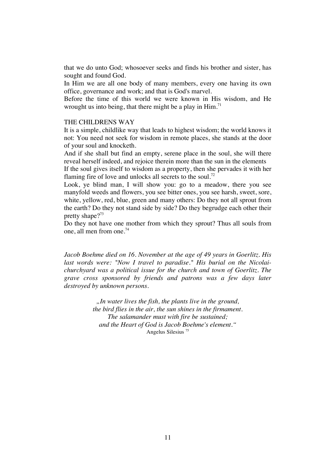that we do unto God; whosoever seeks and finds his brother and sister, has sought and found God.

In Him we are all one body of many members, every one having its own office, governance and work; and that is God's marvel.

Before the time of this world we were known in His wisdom, and He wrought us into being, that there might be a play in  $\text{Him.}^{71}$ 

#### THE CHILDRENS WAY

It is a simple, childlike way that leads to highest wisdom; the world knows it not: You need not seek for wisdom in remote places, she stands at the door of your soul and knocketh.

And if she shall but find an empty, serene place in the soul, she will there reveal herself indeed, and rejoice therein more than the sun in the elements If the soul gives itself to wisdom as a property, then she pervades it with her

flaming fire of love and unlocks all secrets to the soul.<sup>72</sup>

Look, ye blind man, I will show you: go to a meadow, there you see manyfold weeds and flowers, you see bitter ones, you see harsh, sweet, sore, white, yellow, red, blue, green and many others: Do they not all sprout from the earth? Do they not stand side by side? Do they begrudge each other their pretty shape?<sup>73</sup>

Do they not have one mother from which they sprout? Thus all souls from one, all men from one.<sup>74</sup>

*Jacob Boehme died on 16. November at the age of 49 years in Goerlitz. His last words were: "Now I travel to paradise." His burial on the Nicolaichurchyard was a political issue for the church and town of Goerlitz. The grave cross sponsored by friends and patrons was a few days later destroyed by unknown persons.*

> *"In water lives the fish, the plants live in the ground, the bird flies in the air, the sun shines in the firmament. The salamander must with fire be sustained; and the Heart of God is Jacob Boehme's element."* Angelus Silesius <sup>75</sup>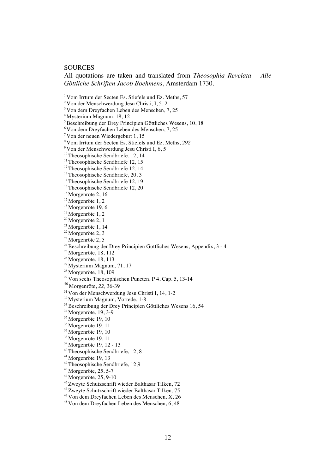# **SOURCES**

All quotations are taken and translated from *Theosophia Revelata – Alle Göttliche Schriften Jacob Boehmens*, Amsterdam 1730.

<sup>1</sup> Vom Irrtum der Secten Es. Stiefels und Ez. Meths, 57

 $2$  Von der Menschwerdung Jesu Christi, I, 5, 2

3 Von dem Dreyfachen Leben des Menschen, 7, 25

4 Mysterium Magnum, 18, 12

5 Beschreibung der Drey Principien Göttliches Wesens, 10, 18

6 Von dem Dreyfachen Leben des Menschen, 7, 25

7 Von der neuen Wiedergeburt 1, 15

*<sup>8</sup>*Vom Irrtum der Secten Es. Stiefels und Ez. Meths, *292*

9 Von der Menschwerdung Jesu Christi I, 6, 5

<sup>10</sup> Theosophische Sendbriefe, 12, 14

<sup>11</sup> Theosophische Sendbriefe 12, 15

 $12$  Theosophische Sendbriefe 12, 14

 $13$  Theosophische Sendbriefe, 20, 3

<sup>14</sup> Theosophische Sendbriefe 12, 19

<sup>15</sup> Theosophische Sendbriefe 12, 20

 $16$  Morgenröte 2, 16

<sup>17</sup> Morgenröte 1, 2

<sup>18</sup> Morgenröte 19, 6

<sup>19</sup> Morgenröte 1, 2

 $20$  Morgenröte 2, 1

 $21$  Morgenröte 1, 14

 $22$  Morgenröte 2, 3

 $23$  Morgenröte 2, 5

<sup>24</sup> Beschreibung der Drey Principien Göttliches Wesens, Appendix, 3 - 4

 $25$  Morgenröte, 18, 112

<sup>26</sup> Morgenröte, 18, 113

27 Mysterium Magnum, 71, 17

 $28$  Morgenröte, 18, 109

<sup>29</sup> Von sechs Theosophischen Puncten, P 4, Cap. 5, 13-14

*<sup>30</sup>*Morgenröte, *22,* 36-39

 $31$  Von der Menschwerdung Jesu Christi I, 14, 1-2

32 Mysterium Magnum, Vorrede, 1-8

 $33$  Beschreibung der Drey Principien Göttliches Wesens 16, 54

<sup>34</sup> Morgenröte, 19, 3-9

<sup>35</sup> Morgenröte 19, 10

<sup>36</sup> Morgenröte 19, 11

<sup>37</sup> Morgenröte 19, 10

<sup>38</sup> Morgenröte 19, 11

39 Morgenröte 19, 12 - 13

40 Theosophische Sendbriefe, 12, 8

41 Morgenröte 19, 13

42 Theosophische Sendbriefe, 12,9

 $43$  Morgenröte, 25, 5-7

44 Morgenröte, 25, 9-10

45 Zweyte Schutzschrift wieder Balthasar Tilken, 72

46 Zweyte Schutzschrift wieder Balthasar Tilken, 75

47 Von dem Dreyfachen Leben des Menschen. X, 26

48 Von dem Dreyfachen Leben des Menschen, 6, 48